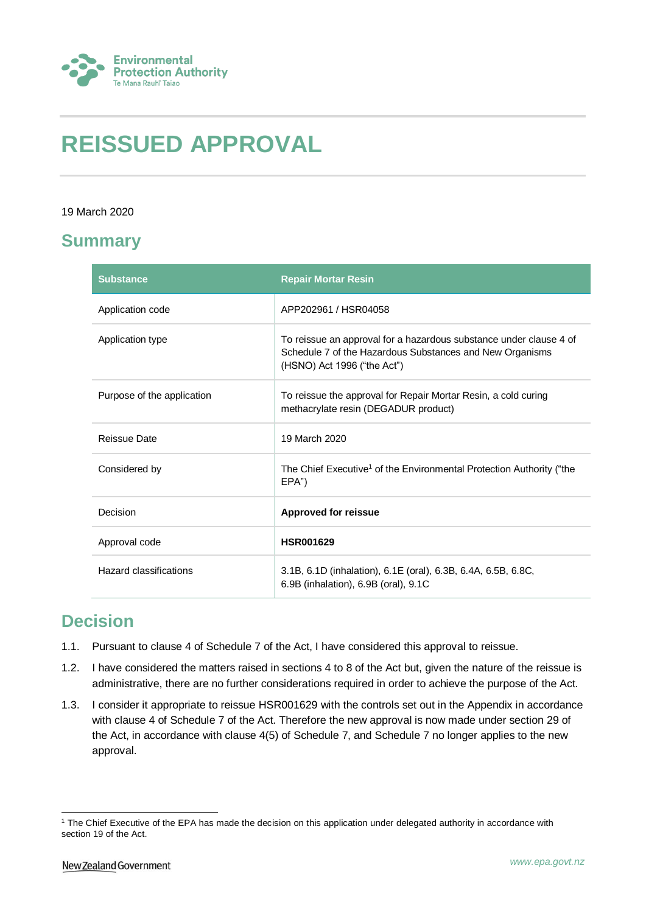

# **REISSUED APPROVAL**

### 19 March 2020

### **Summary**

| <b>Substance</b>           | <b>Repair Mortar Resin</b>                                                                                                                                    |
|----------------------------|---------------------------------------------------------------------------------------------------------------------------------------------------------------|
| Application code           | APP202961 / HSR04058                                                                                                                                          |
| Application type           | To reissue an approval for a hazardous substance under clause 4 of<br>Schedule 7 of the Hazardous Substances and New Organisms<br>(HSNO) Act 1996 ("the Act") |
| Purpose of the application | To reissue the approval for Repair Mortar Resin, a cold curing<br>methacrylate resin (DEGADUR product)                                                        |
| <b>Reissue Date</b>        | 19 March 2020                                                                                                                                                 |
| Considered by              | The Chief Executive <sup>1</sup> of the Environmental Protection Authority ("the<br>EPA")                                                                     |
| Decision                   | <b>Approved for reissue</b>                                                                                                                                   |
| Approval code              | <b>HSR001629</b>                                                                                                                                              |
| Hazard classifications     | 3.1B, 6.1D (inhalation), 6.1E (oral), 6.3B, 6.4A, 6.5B, 6.8C,<br>6.9B (inhalation), 6.9B (oral), 9.1C                                                         |

## **Decision**

- 1.1. Pursuant to clause 4 of Schedule 7 of the Act, I have considered this approval to reissue.
- 1.2. I have considered the matters raised in sections 4 to 8 of the Act but, given the nature of the reissue is administrative, there are no further considerations required in order to achieve the purpose of the Act.
- 1.3. I consider it appropriate to reissue HSR001629 with the controls set out in the Appendix in accordance with clause 4 of Schedule 7 of the Act. Therefore the new approval is now made under section 29 of the Act, in accordance with clause 4(5) of Schedule 7, and Schedule 7 no longer applies to the new approval.

<sup>1</sup> <sup>1</sup> The Chief Executive of the EPA has made the decision on this application under delegated authority in accordance with section 19 of the Act.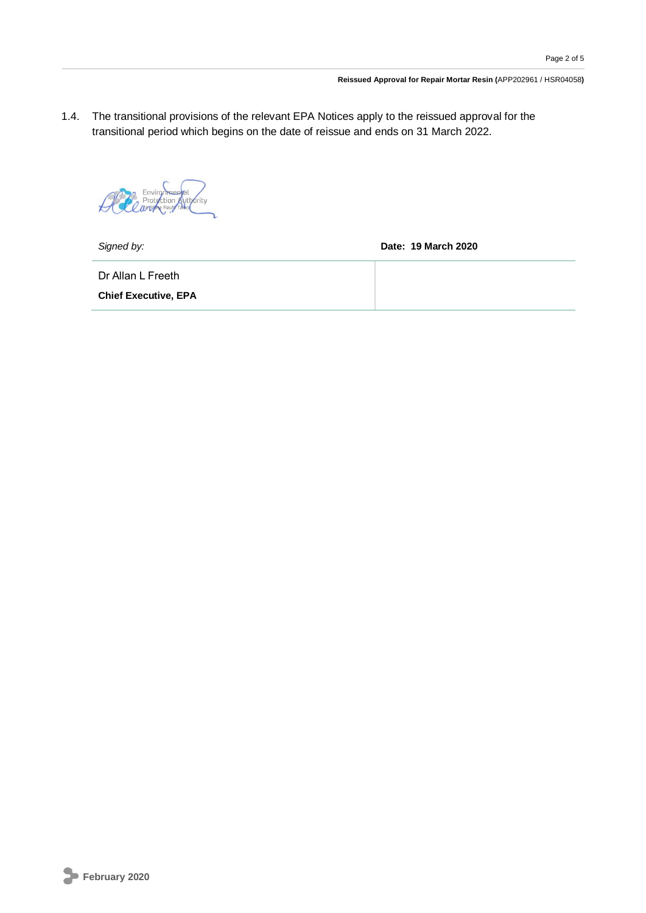1.4. The transitional provisions of the relevant EPA Notices apply to the reissued approval for the transitional period which begins on the date of reissue and ends on 31 March 2022.

Environmental  $\star$ 

*Signed by:* **Date: 19 March 2020**

Dr Allan L Freeth

**Chief Executive, EPA**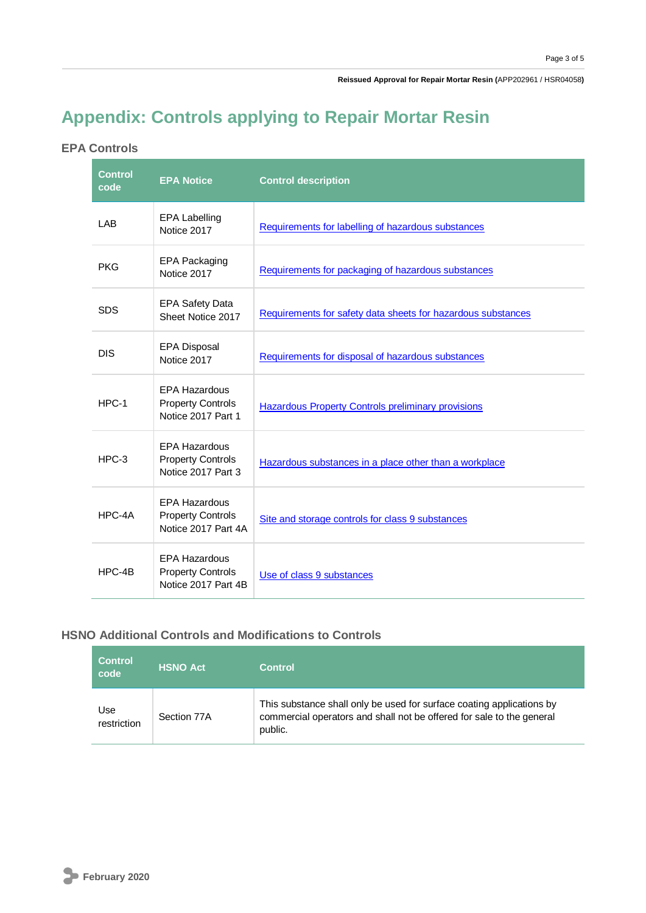**Reissued Approval for Repair Mortar Resin (**APP202961 / HSR04058**)**

## **Appendix: Controls applying to Repair Mortar Resin**

### **EPA Controls**

| <b>Control</b><br>code | <b>EPA Notice</b>                                                       | <b>Control description</b>                                   |
|------------------------|-------------------------------------------------------------------------|--------------------------------------------------------------|
| LAB                    | <b>EPA Labelling</b><br>Notice 2017                                     | Requirements for labelling of hazardous substances           |
| <b>PKG</b>             | <b>EPA Packaging</b><br>Notice 2017                                     | Requirements for packaging of hazardous substances           |
| <b>SDS</b>             | <b>EPA Safety Data</b><br>Sheet Notice 2017                             | Requirements for safety data sheets for hazardous substances |
| <b>DIS</b>             | <b>EPA Disposal</b><br>Notice 2017                                      | Requirements for disposal of hazardous substances            |
| HPC-1                  | <b>EPA Hazardous</b><br><b>Property Controls</b><br>Notice 2017 Part 1  | <b>Hazardous Property Controls preliminary provisions</b>    |
| HPC-3                  | <b>EPA Hazardous</b><br><b>Property Controls</b><br>Notice 2017 Part 3  | Hazardous substances in a place other than a workplace       |
| HPC-4A                 | <b>EPA Hazardous</b><br><b>Property Controls</b><br>Notice 2017 Part 4A | Site and storage controls for class 9 substances             |
| HPC-4B                 | <b>EPA Hazardous</b><br><b>Property Controls</b><br>Notice 2017 Part 4B | Use of class 9 substances                                    |

### **HSNO Additional Controls and Modifications to Controls**

| <b>Control</b><br>code | <b>HSNO Act</b> | <b>Control</b>                                                                                                                                            |
|------------------------|-----------------|-----------------------------------------------------------------------------------------------------------------------------------------------------------|
| Use<br>restriction     | Section 77A     | This substance shall only be used for surface coating applications by<br>commercial operators and shall not be offered for sale to the general<br>public. |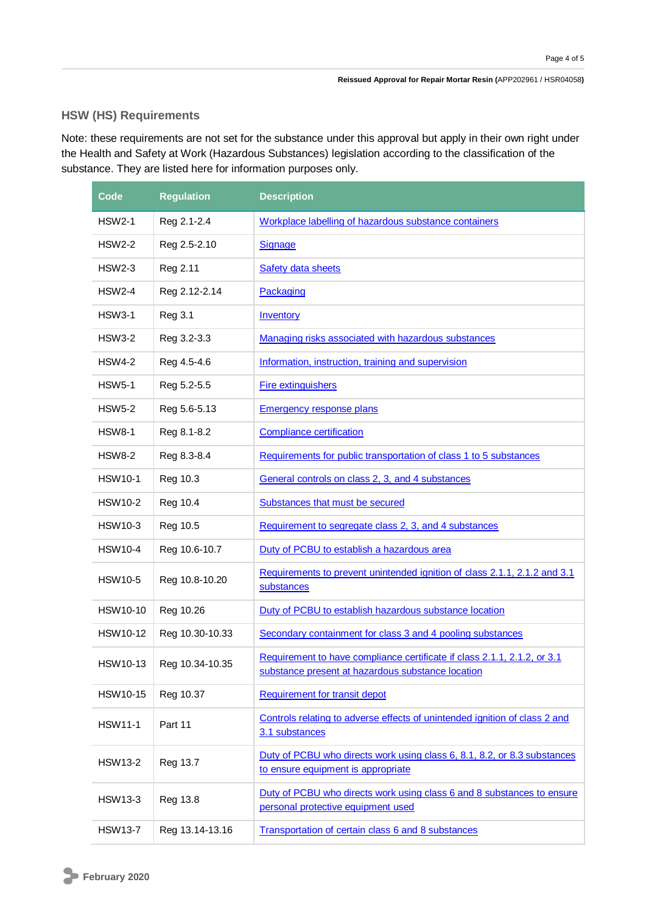### **HSW (HS) Requirements**

Note: these requirements are not set for the substance under this approval but apply in their own right under the Health and Safety at Work (Hazardous Substances) legislation according to the classification of the substance. They are listed here for information purposes only.

| Code            | <b>Regulation</b> | <b>Description</b>                                                                                                            |
|-----------------|-------------------|-------------------------------------------------------------------------------------------------------------------------------|
| <b>HSW2-1</b>   | Reg 2.1-2.4       | Workplace labelling of hazardous substance containers                                                                         |
| <b>HSW2-2</b>   | Reg 2.5-2.10      | <b>Signage</b>                                                                                                                |
| <b>HSW2-3</b>   | Reg 2.11          | Safety data sheets                                                                                                            |
| <b>HSW2-4</b>   | Reg 2.12-2.14     | Packaging                                                                                                                     |
| <b>HSW3-1</b>   | <b>Reg 3.1</b>    | Inventory                                                                                                                     |
| <b>HSW3-2</b>   | Reg 3.2-3.3       | Managing risks associated with hazardous substances                                                                           |
| <b>HSW4-2</b>   | Reg 4.5-4.6       | Information, instruction, training and supervision                                                                            |
| <b>HSW5-1</b>   | Reg 5.2-5.5       | <b>Fire extinguishers</b>                                                                                                     |
| <b>HSW5-2</b>   | Reg 5.6-5.13      | <b>Emergency response plans</b>                                                                                               |
| <b>HSW8-1</b>   | Reg 8.1-8.2       | <b>Compliance certification</b>                                                                                               |
| <b>HSW8-2</b>   | Reg 8.3-8.4       | Requirements for public transportation of class 1 to 5 substances                                                             |
| <b>HSW10-1</b>  | Reg 10.3          | General controls on class 2, 3, and 4 substances                                                                              |
| <b>HSW10-2</b>  | Reg 10.4          | Substances that must be secured                                                                                               |
| <b>HSW10-3</b>  | Reg 10.5          | Requirement to segregate class 2, 3, and 4 substances                                                                         |
| <b>HSW10-4</b>  | Reg 10.6-10.7     | Duty of PCBU to establish a hazardous area                                                                                    |
| <b>HSW10-5</b>  | Reg 10.8-10.20    | Requirements to prevent unintended ignition of class 2.1.1, 2.1.2 and 3.1<br>substances                                       |
| <b>HSW10-10</b> | Reg 10.26         | Duty of PCBU to establish hazardous substance location                                                                        |
| <b>HSW10-12</b> | Reg 10.30-10.33   | Secondary containment for class 3 and 4 pooling substances                                                                    |
| HSW10-13        | Reg 10.34-10.35   | Requirement to have compliance certificate if class 2.1.1, 2.1.2, or 3.1<br>substance present at hazardous substance location |
| <b>HSW10-15</b> | Reg 10.37         | <b>Requirement for transit depot</b>                                                                                          |
| <b>HSW11-1</b>  | Part 11           | Controls relating to adverse effects of unintended ignition of class 2 and<br>3.1 substances                                  |
| <b>HSW13-2</b>  | Reg 13.7          | Duty of PCBU who directs work using class 6, 8.1, 8.2, or 8.3 substances<br>to ensure equipment is appropriate                |
| HSW13-3         | Reg 13.8          | Duty of PCBU who directs work using class 6 and 8 substances to ensure<br>personal protective equipment used                  |
| <b>HSW13-7</b>  | Reg 13.14-13.16   | Transportation of certain class 6 and 8 substances                                                                            |